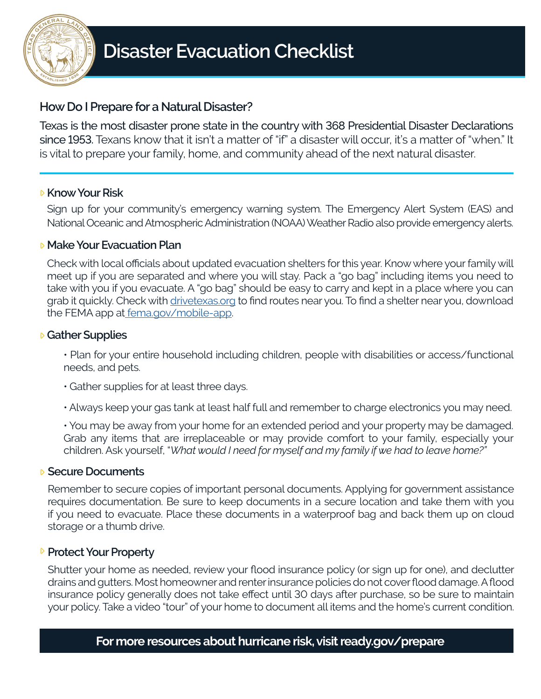

## **How Do I Prepare for a Natural Disaster?**

Texas is the most disaster prone state in the country with 368 Presidential Disaster Declarations since 1953. Texans know that it isn't a matter of "if" a disaster will occur, it's a matter of "when." It is vital to prepare your family, home, and community ahead of the next natural disaster.

## **E** Know Your Risk

Sign up for your community's emergency warning system. The Emergency Alert System (EAS) and National Oceanic and Atmospheric Administration (NOAA) Weather Radio also provide emergency alerts.

## **Make Your Evacuation Plan**

Check with local officials about updated evacuation shelters for this year. Know where your family will meet up if you are separated and where you will stay. Pack a "go bag" including items you need to take with you if you evacuate. A "go bag" should be easy to carry and kept in a place where you can grab it quickly. Check with [drivetexas.org](https://drivetexas.org/#/7/32.340/-99.500?future=false) to find routes near you. To find a shelter near you, download the FEMA app at [fema.gov/mobile-app](fema.gov/mobile-app. 
).

## **Gather Supplies**

• Plan for your entire household including children, people with disabilities or access/functional needs, and pets.

- Gather supplies for at least three days.
- Always keep your gas tank at least half full and remember to charge electronics you may need.

• You may be away from your home for an extended period and your property may be damaged. Grab any items that are irreplaceable or may provide comfort to your family, especially your children. Ask yourself, "*What would I need for myself and my family if we had to leave home?"*

#### **Secure Documents**

Remember to secure copies of important personal documents. Applying for government assistance requires documentation. Be sure to keep documents in a secure location and take them with you if you need to evacuate. Place these documents in a waterproof bag and back them up on cloud storage or a thumb drive.

## **P** Protect Your Property

Shutter your home as needed, review your flood insurance policy (or sign up for one), and declutter drains and gutters. Most homeowner and renter insurance policies do not cover flood damage. A flood insurance policy generally does not take effect until 30 days after purchase, so be sure to maintain your policy. Take a video "tour" of your home to document all items and the home's current condition.

## **For more resources about hurricane risk, visit ready.gov/prepare**